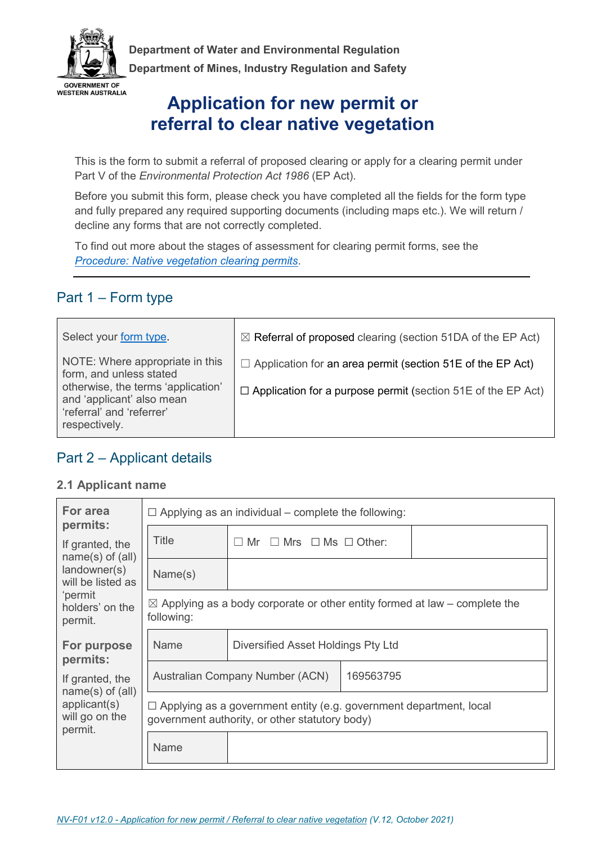

**Department of Water and Environmental Regulation Department of Mines, Industry Regulation and Safety** 

# **Application for new permit or referral to clear native vegetation**

This is the form to submit a referral of proposed clearing or apply for a clearing permit under Part V of the *Environmental Protection Act 1986* (EP Act).

Before you submit this form, please check you have completed all the fields for the form type and fully prepared any required supporting documents (including maps etc.). We will return / decline any forms that are not correctly completed.

To find out more about the stages of assessment for clearing permit forms, see the *Procedure: Native vegetation clearing permits*.

# Part 1 – Form type

| Select your form type.                                                                                                                                                      | $\boxtimes$ Referral of proposed clearing (section 51DA of the EP Act)                                                                   |
|-----------------------------------------------------------------------------------------------------------------------------------------------------------------------------|------------------------------------------------------------------------------------------------------------------------------------------|
| NOTE: Where appropriate in this<br>form, and unless stated<br>otherwise, the terms 'application'<br>and 'applicant' also mean<br>'referral' and 'referrer'<br>respectively. | $\Box$ Application for an area permit (section 51E of the EP Act)<br>$\Box$ Application for a purpose permit (section 51E of the EP Act) |

## Part 2 – Applicant details

#### **2.1 Applicant name**

| For area<br>permits:                      | $\Box$ Applying as an individual – complete the following:                                                                  |                                                                                       |  |  |
|-------------------------------------------|-----------------------------------------------------------------------------------------------------------------------------|---------------------------------------------------------------------------------------|--|--|
| If granted, the<br>$name(s)$ of $(all)$   | Title                                                                                                                       | $Mr \Box Mrs \Box Ms \Box Other$ :<br>$\Box$                                          |  |  |
| landowner(s)<br>will be listed as         | Name(s)                                                                                                                     |                                                                                       |  |  |
| 'permit<br>holders' on the<br>permit.     | following:                                                                                                                  | $\boxtimes$ Applying as a body corporate or other entity formed at law – complete the |  |  |
| For purpose<br>permits:                   | Name                                                                                                                        | Diversified Asset Holdings Pty Ltd                                                    |  |  |
| If granted, the<br>$name(s)$ of $(all)$   | Australian Company Number (ACN)<br>169563795                                                                                |                                                                                       |  |  |
| applicant(s)<br>will go on the<br>permit. | $\Box$ Applying as a government entity (e.g. government department, local<br>government authority, or other statutory body) |                                                                                       |  |  |
|                                           | Name                                                                                                                        |                                                                                       |  |  |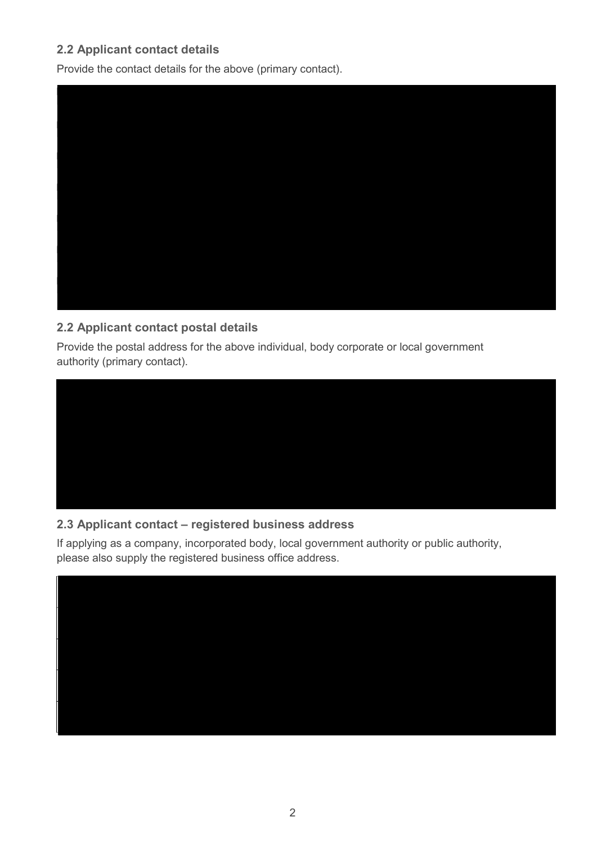## **2.2 Applicant contact details**

Provide the contact details for the above (primary contact).



## **2.2 Applicant contact postal details**

Provide the postal address for the above individual, body corporate or local government authority (primary contact).



## **2.3 Applicant contact – registered business address**

If applying as a company, incorporated body, local government authority or public authority, please also supply the registered business office address.

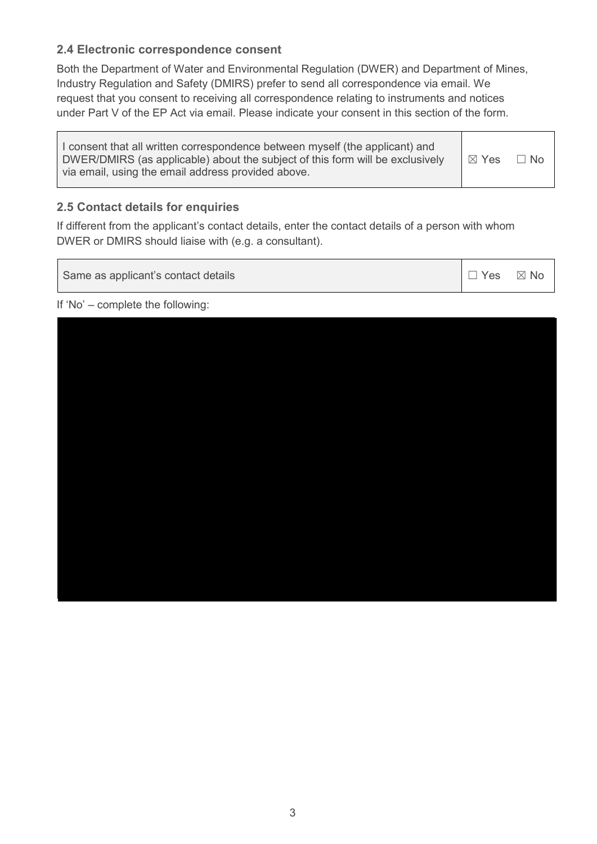### **2.4 Electronic correspondence consent**

Both the Department of Water and Environmental Regulation (DWER) and Department of Mines, Industry Regulation and Safety (DMIRS) prefer to send all correspondence via email. We request that you consent to receiving all correspondence relating to instruments and notices under Part V of the EP Act via email. Please indicate your consent in this section of the form.

| I consent that all written correspondence between myself (the applicant) and<br>DWER/DMIRS (as applicable) about the subject of this form will be exclusively<br>via email, using the email address provided above. | I ⊠ Yes | $\Box$ No |
|---------------------------------------------------------------------------------------------------------------------------------------------------------------------------------------------------------------------|---------|-----------|
|---------------------------------------------------------------------------------------------------------------------------------------------------------------------------------------------------------------------|---------|-----------|

### **2.5 Contact details for enquiries**

If different from the applicant's contact details, enter the contact details of a person with whom DWER or DMIRS should liaise with (e.g. a consultant).

Same as applicant's contact details ☐ Yes ☒ No

If 'No' – complete the following: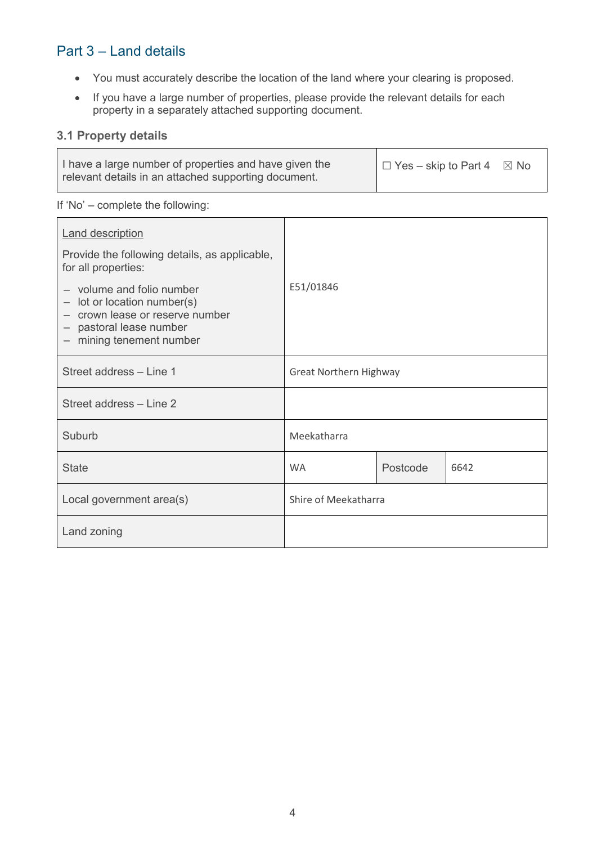# Part 3 – Land details

- You must accurately describe the location of the land where your clearing is proposed.
- If you have a large number of properties, please provide the relevant details for each property in a separately attached supporting document.

## **3.1 Property details**

| I have a large number of properties and have given the | $\Box$ Yes – skip to Part 4 | $\boxtimes$ No |
|--------------------------------------------------------|-----------------------------|----------------|
| relevant details in an attached supporting document.   |                             |                |

#### If 'No' – complete the following:

| <b>Land description</b><br>Provide the following details, as applicable,<br>for all properties:                                                    |                               |          |      |
|----------------------------------------------------------------------------------------------------------------------------------------------------|-------------------------------|----------|------|
| - volume and folio number<br>- lot or location number(s)<br>- crown lease or reserve number<br>- pastoral lease number<br>- mining tenement number | E51/01846                     |          |      |
| Street address - Line 1                                                                                                                            | <b>Great Northern Highway</b> |          |      |
| Street address - Line 2                                                                                                                            |                               |          |      |
| Suburb                                                                                                                                             | Meekatharra                   |          |      |
| <b>State</b>                                                                                                                                       | <b>WA</b>                     | Postcode | 6642 |
| Local government area(s)                                                                                                                           | Shire of Meekatharra          |          |      |
| Land zoning                                                                                                                                        |                               |          |      |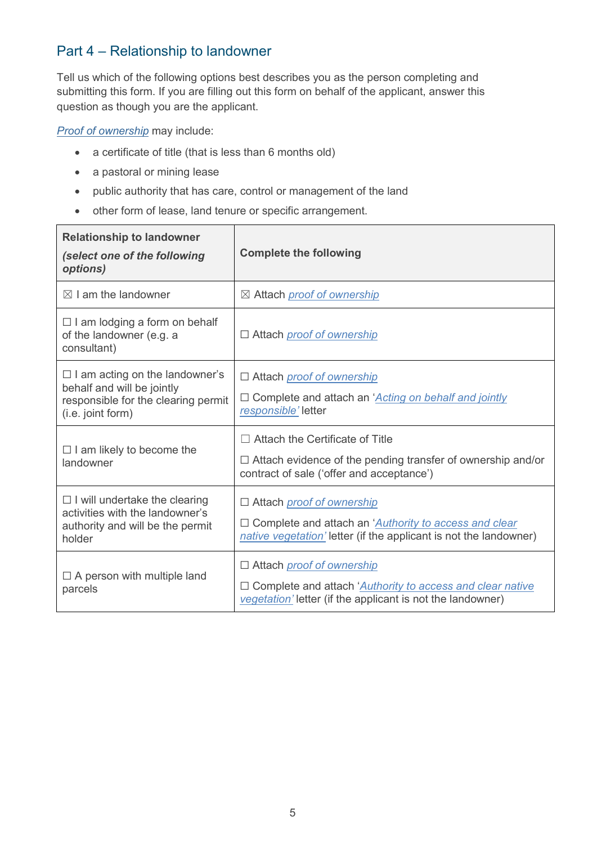# Part 4 – Relationship to landowner

Tell us which of the following options best describes you as the person completing and submitting this form. If you are filling out this form on behalf of the applicant, answer this question as though you are the applicant.

*Proof of ownership* may include:

- a certificate of title (that is less than 6 months old)
- a pastoral or mining lease
- public authority that has care, control or management of the land
- other form of lease, land tenure or specific arrangement.

| <b>Relationship to landowner</b><br>(select one of the following<br>options)                                                    | <b>Complete the following</b>                                                                                                                                              |
|---------------------------------------------------------------------------------------------------------------------------------|----------------------------------------------------------------------------------------------------------------------------------------------------------------------------|
| $\boxtimes$ I am the landowner                                                                                                  | ⊠ Attach <i>proof of ownership</i>                                                                                                                                         |
| $\Box$ I am lodging a form on behalf<br>of the landowner (e.g. a<br>consultant)                                                 | □ Attach <i>proof of ownership</i>                                                                                                                                         |
| $\Box$ I am acting on the landowner's<br>behalf and will be jointly<br>responsible for the clearing permit<br>(i.e. joint form) | □ Attach <i>proof of ownership</i><br>□ Complete and attach an 'Acting on behalf and jointly<br>responsible' letter                                                        |
| $\Box$ I am likely to become the<br>landowner                                                                                   | $\Box$ Attach the Certificate of Title<br>$\Box$ Attach evidence of the pending transfer of ownership and/or<br>contract of sale ('offer and acceptance')                  |
| $\Box$ I will undertake the clearing<br>activities with the landowner's<br>authority and will be the permit<br>holder           | □ Attach <i>proof of ownership</i><br>□ Complete and attach an ' <i>Authority to access and clear</i><br>native vegetation' letter (if the applicant is not the landowner) |
| $\Box$ A person with multiple land<br>parcels                                                                                   | □ Attach <i>proof of ownership</i><br>□ Complete and attach 'Authority to access and clear native<br>vegetation' letter (if the applicant is not the landowner)            |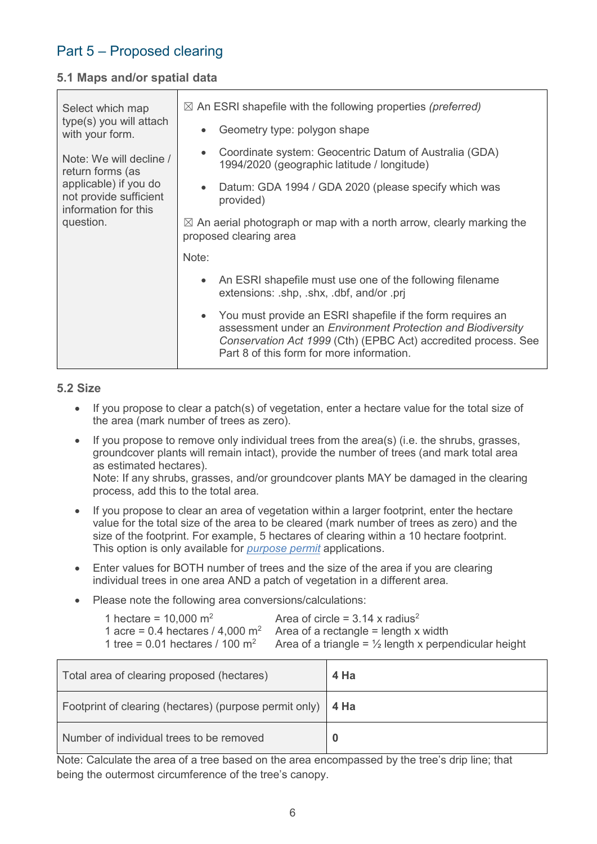# Part 5 – Proposed clearing

#### **5.1 Maps and/or spatial data**

| Select which map<br>type(s) you will attach                             | $\boxtimes$ An ESRI shapefile with the following properties (preferred)                                                                                                                                                                               |
|-------------------------------------------------------------------------|-------------------------------------------------------------------------------------------------------------------------------------------------------------------------------------------------------------------------------------------------------|
| with your form.                                                         | Geometry type: polygon shape<br>$\bullet$                                                                                                                                                                                                             |
| Note: We will decline /<br>return forms (as                             | Coordinate system: Geocentric Datum of Australia (GDA)<br>$\bullet$<br>1994/2020 (geographic latitude / longitude)                                                                                                                                    |
| applicable) if you do<br>not provide sufficient<br>information for this | Datum: GDA 1994 / GDA 2020 (please specify which was<br>$\bullet$<br>provided)                                                                                                                                                                        |
| question.                                                               | $\boxtimes$ An aerial photograph or map with a north arrow, clearly marking the<br>proposed clearing area                                                                                                                                             |
|                                                                         | Note:                                                                                                                                                                                                                                                 |
|                                                                         | An ESRI shapefile must use one of the following filename<br>$\bullet$<br>extensions: .shp, .shx, .dbf, and/or .prj                                                                                                                                    |
|                                                                         | You must provide an ESRI shapefile if the form requires an<br>$\bullet$<br>assessment under an Environment Protection and Biodiversity<br>Conservation Act 1999 (Cth) (EPBC Act) accredited process. See<br>Part 8 of this form for more information. |

#### **5.2 Size**

- If you propose to clear a patch(s) of vegetation, enter a hectare value for the total size of the area (mark number of trees as zero).
- If you propose to remove only individual trees from the area(s) (i.e. the shrubs, grasses, groundcover plants will remain intact), provide the number of trees (and mark total area as estimated hectares). Note: If any shrubs, grasses, and/or groundcover plants MAY be damaged in the clearing process, add this to the total area.
- If you propose to clear an area of vegetation within a larger footprint, enter the hectare value for the total size of the area to be cleared (mark number of trees as zero) and the size of the footprint. For example, 5 hectares of clearing within a 10 hectare footprint. This option is only available for *purpose permit* applications.
- Enter values for BOTH number of trees and the size of the area if you are clearing individual trees in one area AND a patch of vegetation in a different area.
- Please note the following area conversions/calculations:

| 1 hectare = $10,000 \text{ m}^2$ | Area of circle = $3.14 \times$ radius <sup>2</sup>                                                           |
|----------------------------------|--------------------------------------------------------------------------------------------------------------|
|                                  | 1 acre = 0.4 hectares / 4,000 $m^2$ Area of a rectangle = length x width                                     |
|                                  | 1 tree = 0.01 hectares / 100 m <sup>2</sup> Area of a triangle = $\frac{1}{2}$ length x perpendicular height |

| Total area of clearing proposed (hectares)             | 4 Ha |
|--------------------------------------------------------|------|
| Footprint of clearing (hectares) (purpose permit only) | 4 Ha |
| Number of individual trees to be removed               | U    |

Note: Calculate the area of a tree based on the area encompassed by the tree's drip line; that being the outermost circumference of the tree's canopy.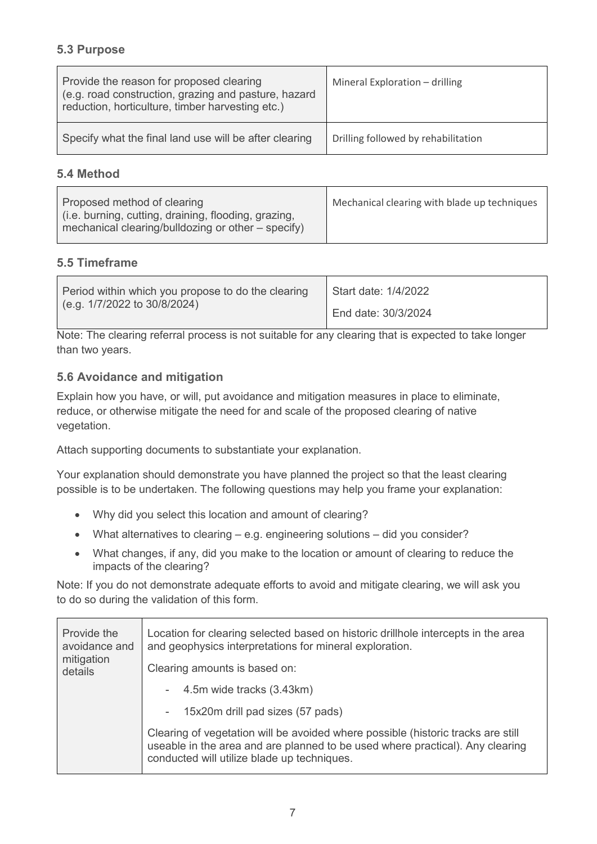### **5.3 Purpose**

| Provide the reason for proposed clearing<br>(e.g. road construction, grazing and pasture, hazard<br>reduction, horticulture, timber harvesting etc.) | Mineral Exploration - drilling      |
|------------------------------------------------------------------------------------------------------------------------------------------------------|-------------------------------------|
| Specify what the final land use will be after clearing                                                                                               | Drilling followed by rehabilitation |

#### **5.4 Method**

| Proposed method of clearing<br>(i.e. burning, cutting, draining, flooding, grazing, | Mechanical clearing with blade up techniques |
|-------------------------------------------------------------------------------------|----------------------------------------------|
| mechanical clearing/bulldozing or other - specify)                                  |                                              |

## **5.5 Timeframe**

| Period within which you propose to do the clearing | Start date: 1/4/2022 |  |  |
|----------------------------------------------------|----------------------|--|--|
| (e.g. 1/7/2022 to 30/8/2024)                       | End date: 30/3/2024  |  |  |

Note: The clearing referral process is not suitable for any clearing that is expected to take longer than two years.

### **5.6 Avoidance and mitigation**

Explain how you have, or will, put avoidance and mitigation measures in place to eliminate, reduce, or otherwise mitigate the need for and scale of the proposed clearing of native vegetation.

Attach supporting documents to substantiate your explanation.

Your explanation should demonstrate you have planned the project so that the least clearing possible is to be undertaken. The following questions may help you frame your explanation:

- Why did you select this location and amount of clearing?
- What alternatives to clearing e.g. engineering solutions did you consider?
- What changes, if any, did you make to the location or amount of clearing to reduce the impacts of the clearing?

Note: If you do not demonstrate adequate efforts to avoid and mitigate clearing, we will ask you to do so during the validation of this form.

| Provide the<br>avoidance and<br>mitigation<br>details | Location for clearing selected based on historic drillhole intercepts in the area<br>and geophysics interpretations for mineral exploration.                                                                     |  |  |  |  |
|-------------------------------------------------------|------------------------------------------------------------------------------------------------------------------------------------------------------------------------------------------------------------------|--|--|--|--|
|                                                       | Clearing amounts is based on:                                                                                                                                                                                    |  |  |  |  |
|                                                       | - 4.5m wide tracks (3.43km)                                                                                                                                                                                      |  |  |  |  |
|                                                       | - 15x20m drill pad sizes (57 pads)                                                                                                                                                                               |  |  |  |  |
|                                                       | Clearing of vegetation will be avoided where possible (historic tracks are still<br>useable in the area and are planned to be used where practical). Any clearing<br>conducted will utilize blade up techniques. |  |  |  |  |